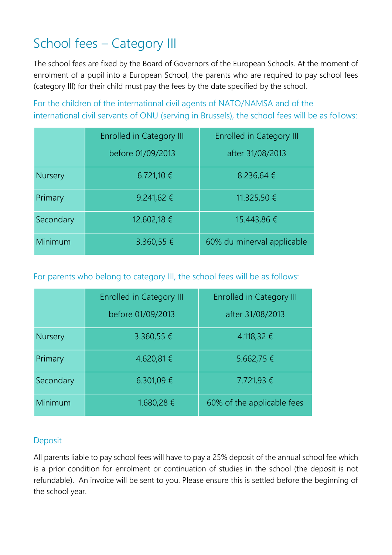## School fees – Category III

The school fees are fixed by the Board of Governors of the European Schools. At the moment of enrolment of a pupil into a European School, the parents who are required to pay school fees (category III) for their child must pay the fees by the date specified by the school.

For the children of the international civil agents of NATO/NAMSA and of the international civil servants of ONU (serving in Brussels), the school fees will be as follows:

|                | <b>Enrolled in Category III</b> | <b>Enrolled in Category III</b> |
|----------------|---------------------------------|---------------------------------|
|                | before 01/09/2013               | after 31/08/2013                |
| <b>Nursery</b> | 6.721,10 €                      | 8.236,64 €                      |
| Primary        | 9.241,62 €                      | 11.325,50 €                     |
| Secondary      | 12.602,18 €                     | 15.443,86 €                     |
| Minimum        | 3.360,55 €                      | 60% du minerval applicable      |

For parents who belong to category III, the school fees will be as follows:

|                | <b>Enrolled in Category III</b> | <b>Enrolled in Category III</b> |
|----------------|---------------------------------|---------------------------------|
|                | before 01/09/2013               | after 31/08/2013                |
| <b>Nursery</b> | 3.360,55 €                      | 4.118,32 €                      |
| Primary        | 4.620,81 €                      | 5.662,75 €                      |
| Secondary      | 6.301,09 €                      | 7.721,93 €                      |
| Minimum        | 1.680,28 €                      | 60% of the applicable fees      |

## Deposit

All parents liable to pay school fees will have to pay a 25% deposit of the annual school fee which is a prior condition for enrolment or continuation of studies in the school (the deposit is not refundable). An invoice will be sent to you. Please ensure this is settled before the beginning of the school year.